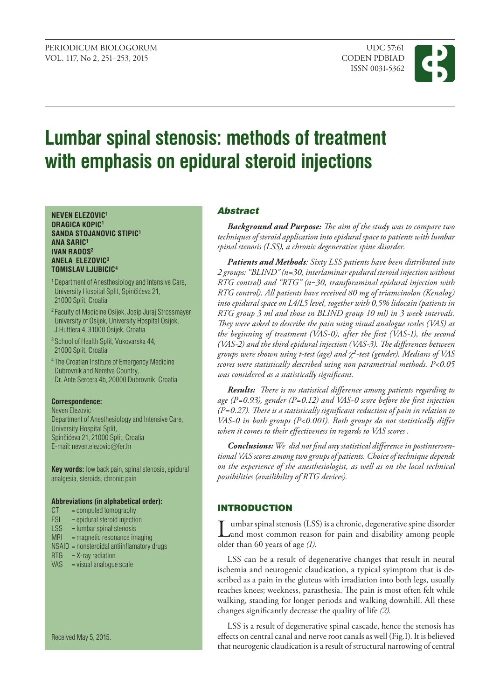

# **Lumbar spinal stenosis: methods of treatment with emphasis on epidural steroid injections**

**NEVEN ELEZOVIC1 DRAGICA KOPIC1 SANDA STOJANOVIC STIPIC1 ANA SARIC1 IVAN RADOS2 ANELA ELEZOVIC3 TOMISLAV LJUBICIC4** 

- 1 Department of Anesthesiology and Intensive Care, University Hospital Split, Spinčićeva 21, 21000 Split, Croatia
- 2 Faculty of Medicine Osijek, Josip Juraj Strossmayer University of Osijek, University Hospital Osijek, J.Huttlera 4, 31000 Osijek, Croatia
- 3 School of Health Split, Vukovarska 44, 21000 Split, Croatia
- 4 The Croatian Institute of Emergency Medicine Dubrovnik and Neretva Country, Dr. Ante Sercera 4b, 20000 Dubrovnik, Croatia

#### **Correspondence:**

Neven Elezovic Department of Anesthesiology and Intensive Care, University Hospital Split, Spinčićeva 21, 21000 Split, Croatia E-mail: neven.elezovic@fer.hr

**Key words:** low back pain, spinal stenosis, epidural analgesia, steroids, chronic pain

#### **Abbreviations (in alphabetical order):**

- $CT = computed tomography$
- $ESI = epidural steroid injection$
- $LSS =$  lumbar spinal stenosis
- $MRI$  = magnetic resonance imaging
- NSAID = nonsteroidal antiinflamatory drugs
- $RTG = X-ray$  radiation
- VAS = visual analogue scale

Received May 5, 2015.

## Abstract

*Background and Purpose: The aim of the study was to compare two techniques of steroid application into epidural space to patients with lumbar spinal stenosis (LSS), a chronic degenerative spine disorder.*

*Patients and Methods: Sixty LSS patients have been distributed into 2 groups: "BLIND" (n=30, interlaminar epidural steroid injection without RTG control) and "RTG" (n=30, transforaminal epidural injection with RTG control). All patients have received 80 mg of triamcinolon (Kenalog) into epidural space on L4/L5 level, together with 0,5% lidocain (patients in RTG group 3 ml and those in BLIND group 10 ml) in 3 week intervals. They were asked to describe the pain using visual analogue scales (VAS) at the beginning of treatment (VAS-0), after the first (VAS-1), the second (VAS-2) and the third epidural injection (VAS-3). The differences between groups were shown using t-test (age) and c2-test (gender). Medians of VAS scores were statistically described using non parametrial methods. P<0.05 was considered as a statistically significant.*

*Results: There is no statistical difference among patients regarding to age (P=0.93), gender (P=0.12) and VAS-0 score before the first injection (P=0.27). There is a statistically significant reduction of pain in relation to VAS-0 in both groups (P<0.001). Both groups do not statistically differ when it comes to their effectiveness in regards to VAS scores .*

*Conclusions: We did not find any statistical difference in postinterventional VAS scores among two groups of patients. Choice of technique depends on the experience of the anesthesiologist, as well as on the local technical possibilities (availibility of RTG devices).*

## INTRODUCTION

 $\sum_{\text{and most common reason for pain and disability among people} }$ older than 60 years of age *(1).*

LSS can be a result of degenerative changes that result in neural ischemia and neurogenic claudication, a typical syimptom that is described as a pain in the gluteus with irradiation into both legs, usually reaches knees; weekness, parasthesia. The pain is most often felt while walking, standing for longer periods and walking downhill. All these changes significantly decrease the quality of life *(2).*

LSS is a result of degenerative spinal cascade, hence the stenosis has effects on central canal and nerve root canals as well (Fig.1). It is believed that neurogenic claudication is a result of structural narrowing of central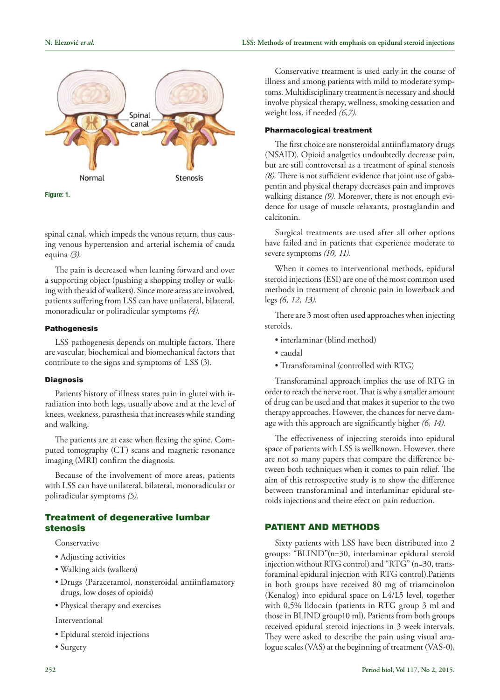

**Figure: 1.**

spinal canal, which impeds the venous return, thus causing venous hypertension and arterial ischemia of cauda equina *(3).*

The pain is decreased when leaning forward and over a supporting object (pushing a shopping trolley or walking with the aid of walkers). Since more areas are involved, patients suffering from LSS can have unilateral, bilateral, monoradicular or poliradicular symptoms *(4).*

#### **Pathogenesis**

LSS pathogenesis depends on multiple factors. There are vascular, biochemical and biomechanical factors that contribute to the signs and symptoms of LSS (3).

#### **Diagnosis**

Patients`history of illness states pain in glutei with irradiation into both legs, usually above and at the level of knees, weekness, parasthesia that increases while standing and walking.

The patients are at ease when flexing the spine. Computed tomography (CT) scans and magnetic resonance imaging (MRI) confirm the diagnosis.

Because of the involvement of more areas, patients with LSS can have unilateral, bilateral, monoradicular or poliradicular symptoms *(5).* 

## Treatment of degenerative lumbar stenosis

### Conservative

- Adjusting activities
- Walking aids (walkers)
- Drugs (Paracetamol, nonsteroidal antiinflamatory drugs, low doses of opioids)
- Physical therapy and exercises

Interventional

- Epidural steroid injections
- Surgery

Conservative treatment is used early in the course of illness and among patients with mild to moderate symptoms. Multidisciplinary treatment is necessary and should involve physical therapy, wellness, smoking cessation and weight loss, if needed *(6,7).*

#### Pharmacological treatment

The first choice are nonsteroidal antiinflamatory drugs (NSAID). Opioid analgetics undoubtedly decrease pain, but are still controversal as a treatment of spinal stenosis *(8).* There is not sufficient evidence that joint use of gabapentin and physical therapy decreases pain and improves walking distance *(9).* Moreover, there is not enough evidence for usage of muscle relaxants, prostaglandin and calcitonin.

Surgical treatments are used after all other options have failed and in patients that experience moderate to severe symptoms *(10, 11).*

When it comes to interventional methods, epidural steroid injections (ESI) are one of the most common used methods in treatment of chronic pain in lowerback and legs *(6, 12, 13).*

There are 3 most often used approaches when injecting steroids.

- interlaminar (blind method)
- caudal
- Ttransforaminal (controlled with RTG)

Transforaminal approach implies the use of RTG in order to reach the nerve root. That is why a smaller amount of drug can be used and that makes it superior to the two therapy approaches. However, the chances for nerve damage with this approach are significantly higher *(6, 14).*

The effectiveness of injecting steroids into epidural space of patients with LSS is wellknown. However, there are not so many papers that compare the difference between both techniques when it comes to pain relief. The aim of this retrospective study is to show the difference between transforaminal and interlaminar epidural steroids injections and theire efect on pain reduction.

### PATIENT AND METHODS

Sixty patients with LSS have been distributed into 2 groups: "BLIND"(n=30, interlaminar epidural steroid injection without RTG control) and "RTG" (n=30, transforaminal epidural injection with RTG control).Patients in both groups have received 80 mg of triamcinolon (Kenalog) into epidural space on L4/L5 level, together with 0,5% lidocain (patients in RTG group 3 ml and those in BLIND group10 ml). Patients from both groups received epidural steroid injections in 3 week intervals. They were asked to describe the pain using visual analogue scales (VAS) at the beginning of treatment (VAS-0),